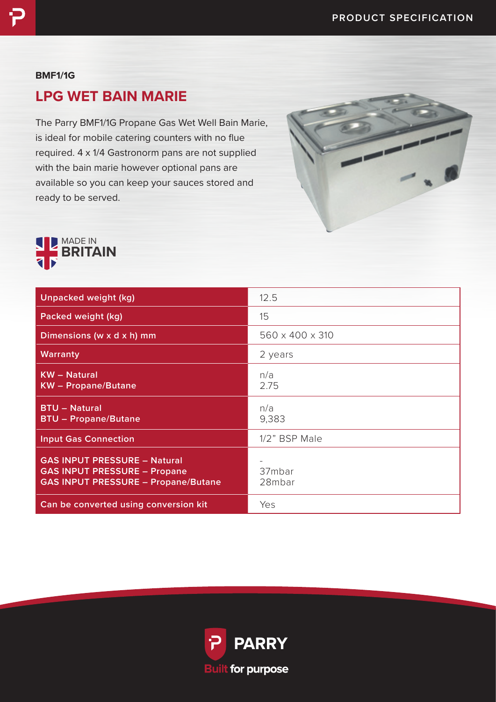#### **BMF1/1G**

# **LPG WET BAIN MARIE**

The Parry BMF1/1G Propane Gas Wet Well Bain Marie, is ideal for mobile catering counters with no flue required. 4 x 1/4 Gastronorm pans are not supplied with the bain marie however optional pans are available so you can keep your sauces stored and ready to be served.





| Unpacked weight (kg)                                                                                                     | 12.5             |
|--------------------------------------------------------------------------------------------------------------------------|------------------|
| Packed weight (kg)                                                                                                       | 15               |
| Dimensions (w x d x h) mm                                                                                                | 560 x 400 x 310  |
| <b>Warranty</b>                                                                                                          | 2 years          |
| <b>KW</b> - Natural<br><b>KW</b> - Propane/Butane                                                                        | n/a<br>2.75      |
| <b>BTU - Natural</b><br><b>BTU - Propane/Butane</b>                                                                      | n/a<br>9,383     |
| <b>Input Gas Connection</b>                                                                                              | 1/2" BSP Male    |
| <b>GAS INPUT PRESSURE - Natural</b><br><b>GAS INPUT PRESSURE - Propane</b><br><b>GAS INPUT PRESSURE - Propane/Butane</b> | 37mbar<br>28mbar |
| Can be converted using conversion kit                                                                                    | Yes              |